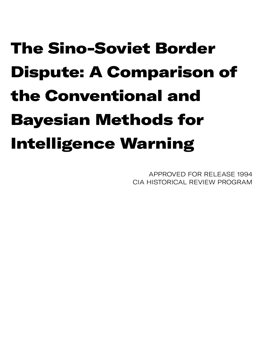# The Sino-Soviet Border Dispute: A Comparison of the Conventional and Bayesian Methods for Intelligence Warning

APPROVED FOR RELEASE 1994 CIA HISTORICAL REVIEW PROGRAM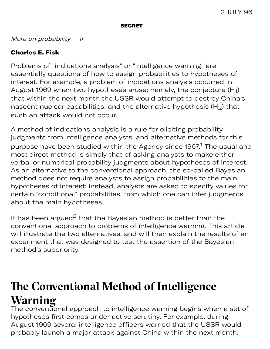More on probability — II

#### Charles E. Fisk

Problems of "indications analysis" or "intelligence warning" are essentially questions of how to assign probabilities to hypotheses of interest. For example, a problem of indications analysis occurred in August 1969 when two hypotheses arose; namely, the conjecture (H<sub>1</sub>) that within the next month the USSR would attempt to destroy China's nascent nuclear capabilities, and the alternative hypothesis  $(H<sub>2</sub>)$  that such an attack would not occur.

A method of indications analysis is a rule for eliciting probability judgments from intelligence analysts, and alternative methods for this purpose have been studied within the Agency since 1967.<sup>1</sup> The usual and most direct method is simply that of asking analysts to make either verbal or numerical probability judgments about hypotheses of interest. As an alternative to the conventional approach, the so-called Bayesian method does not require analysts to assign probabilities to the main hypotheses of interest; instead, analysts are asked to specify values for certain "conditional" probabilities, from which one can infer judgments about the main hypotheses.

It has been argued<sup>2</sup> that the Bayesian method is better than the conventional approach to problems of intelligence warning. This article will illustrate the two alternatives, and will then explain the results of an experiment that was designed to test the assertion of the Bayesian method's superiority.

# **The Conventional Method of Intelligence Warning**

The conventional approach to intelligence warning begins when a set of hypotheses first comes under active scrutiny. For example, during August 1969 several intelligence officers warned that the USSR would probably launch a major attack against China within the next month.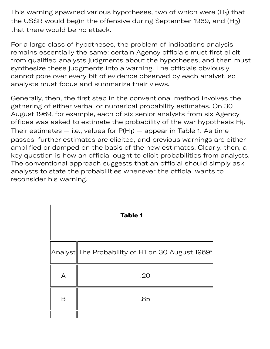This warning spawned various hypotheses, two of which were (H<sub>1</sub>) that the USSR would begin the offensive during September 1969, and  $(H<sub>2</sub>)$ that there would be no attack.

For a large class of hypotheses, the problem of indications analysis remains essentially the same: certain Agency officials must first elicit from qualified analysts judgments about the hypotheses, and then must synthesize these judgments into a warning. The officials obviously cannot pore over every bit of evidence observed by each analyst, so analysts must focus and summarize their views.

Generally, then, the first step in the conventional method involves the gathering of either verbal or numerical probability estimates. On 30 August 1969, for example, each of six senior analysts from six Agency offices was asked to estimate the probability of the war hypothesis H<sub>1</sub>. Their estimates  $-$  i.e., values for  $P(H_1)$   $-$  appear in Table 1. As time passes, further estimates are elicited, and previous warnings are either amplified or damped on the basis of the new estimates. Clearly, then, a key question is how an official ought to elicit probabilities from analysts. The conventional approach suggests that an official should simply ask analysts to state the probabilities whenever the official wants to reconsider his warning.

| <b>Table 1</b> |                                                  |
|----------------|--------------------------------------------------|
|                | Analyst The Probability of H1 on 30 August 1969* |
| A              | .20                                              |
| B              | .85                                              |
|                |                                                  |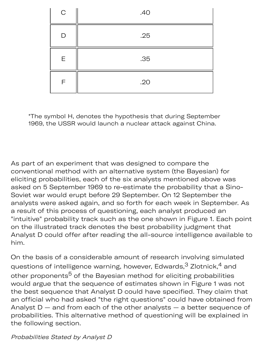| $\mathsf{C}$ | .40 |
|--------------|-----|
| $\mathsf{D}$ | .25 |
| $\mathsf E$  | .35 |
| F            | .20 |

\*The symbol H, denotes the hypothesis that during September 1969, the USSR would launch a nuclear attack against China.

As part of an experiment that was designed to compare the conventional method with an alternative system (the Bayesian) for eliciting probabilities, each of the six analysts mentioned above was asked on 5 September 1969 to re-estimate the probability that a Sino-Soviet war would erupt before 29 September. On 12 September the analysts were asked again, and so forth for each week in September. As a result of this process of questioning, each analyst produced an "intuitive" probability track such as the one shown in Figure 1. Each point on the illustrated track denotes the best probability judgment that Analyst D could offer after reading the all-source intelligence available to him.

On the basis of a considerable amount of research involving simulated questions of intelligence warning, however, Edwards, <sup>3</sup> Zlotnick, <sup>4</sup> and other proponents<sup>5</sup> of the Bayesian method for eliciting probabilities would argue that the sequence of estimates shown in Figure 1 was not the best sequence that Analyst D could have specified. They claim that an official who had asked "the right questions" could have obtained from Analyst  $D$  – and from each of the other analysts – a better sequence of probabilities. This alternative method of questioning will be explained in the following section.

Probabilities Stated by Analyst D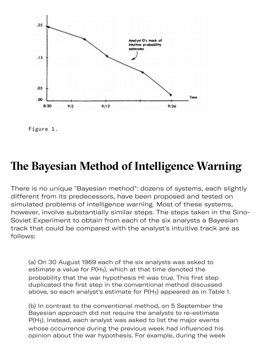

Figure 1.

### **The Bayesian Method of Intelligence Warning**

There is no unique "Bayesian method": dozens of systems, each slightly different from its predecessors, have been proposed and tested on simulated problems of intelligence warning. Most of these systems, however, involve substantially similar steps. The steps taken in the Sino-Soviet Experiment to obtain from each of the six analysts a Bayesian track that could be compared with the analyst's intuitive track are as follows:

(a) On 30 August 1969 each of the six analysts was asked to estimate a value for  $P(H_1)$ , which at that time denoted the probability that the war hypothesis Hl was true. This first step duplicated the first step in the conventional method discussed above, so each analyst's estimate for P(H1) appeared as in Table 1.

(b) In contrast to the conventional method, on 5 September the Bayesian approach did not require the analysts to re-estimate P(H1). Instead, each analyst was asked to list the major events whose occurrence during the previous week had influenced his opinion about the war hypothesis. For example, during the week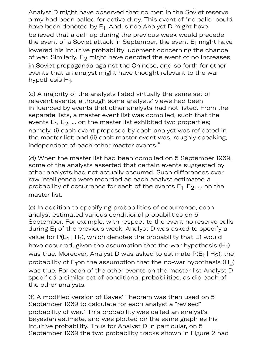opinion ab yp ple, during th Analyst D might have observed that no men in the Soviet reserve army had been called for active duty. This event of "no calls" could have been denoted by  $E_1$ . And, since Analyst D might have believed that a call-up during the previous week would precede the event of a Soviet attack in September, the event  $E_1$  might have lowered his intuitive probability judgment concerning the chance of war. Similarly,  $E_2$  might have denoted the event of no increases in Soviet propaganda against the Chinese, and so forth for other events that an analyst might have thought relevant to the war hypothesis H<sub>1</sub>.

(c) A majority of the analysts listed virtually the same set of relevant events, although some analysts' views had been influenced by events that other analysts had not listed. From the separate lists, a master event list was compiled, such that the events  $E_1$ ,  $E_2$ , ... on the master list exhibited two properties; namely, (i) each event proposed by each analyst was reflected in the master list; and (ii) each master event was, roughly speaking, independent of each other master events.<sup>6</sup>

(d) When the master list had been compiled on 5 September 1969, some of the analysts asserted that certain events suggested by other analysts had not actually occurred. Such differences over raw intelligence were recorded as each analyst estimated a probability of occurrence for each of the events  $E_1$ ,  $E_2$ , ... on the master list.

(e) In addition to specifying probabilities of occurrence, each analyst estimated various conditional probabilities on 5 September. For example, with respect to the event no reserve calls during  $E_1$  of the previous week, Analyst D was asked to specify a value for  $P(E_1 | H_1)$ , which denotes the probability that E1 would have occurred, given the assumption that the war hypothesis  $(H_1)$ was true. Moreover, Analyst D was asked to estimate  $P(E_1 | H_2)$ , the probability of  $E_1$ on the assumption that the no-war hypothesis (H<sub>2</sub>) was true. For each of the other events on the master list Analyst D specified a similar set of conditional probabilities, as did each of the other analysts.

(f) A modified version of Bayes' Theorem was then used on 5 September 1969 to calculate for each analyst a "revised" probability of war.<sup>7</sup> This probability was called an analyst's Bayesian estimate, and was plotted on the same graph as his intuitive probability. Thus for Analyst D in particular, on 5 September 1969 the two probability tracks shown in Figure 2 had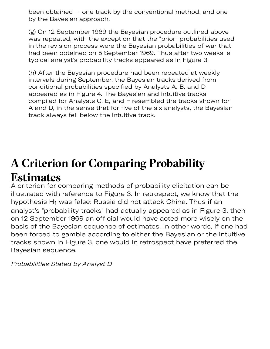been obtained — one track by the conventional method, and one by the Bayesian approach.

(g) On 12 September 1969 the Bayesian procedure outlined above was repeated, with the exception that the "prior" probabilities used in the revision process were the Bayesian probabilities of war that had been obtained on 5 September 1969. Thus after two weeks, a typical analyst's probability tracks appeared as in Figure 3.

(h) After the Bayesian procedure had been repeated at weekly intervals during September, the Bayesian tracks derived from conditional probabilities specified by Analysts A, B, and D appeared as in Figure 4. The Bayesian and intuitive tracks compiled for Analysts C, E, and F resembled the tracks shown for A and D, in the sense that for five of the six analysts, the Bayesian track always fell below the intuitive track.

# **A Criterion for Comparing Probabilit Estimates**

A criterion for comparing methods of probability elicitation can be illustrated with reference to Figure 3. In retrospect, we know that the hypothesis H<sub>1</sub> was false: Russia did not attack China. Thus if an analyst's "probability tracks" had actually appeared as in Figure 3, then on 12 September 1969 an official would have acted more wisely on the basis of the Bayesian sequence of estimates. In other words, if one had been forced to gamble according to either the Bayesian or the intuitive tracks shown in Figure 3, one would in retrospect have preferred the Bayesian sequence.

Probabilities Stated by Analyst D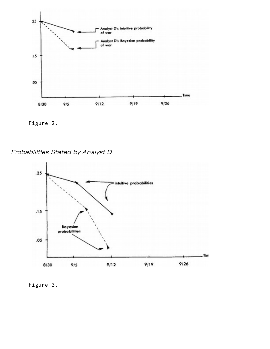



Probabilities Stated by Analyst D



Figure 3.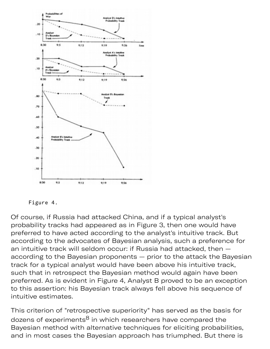

Figure 4.

Of course, if Russia had attacked China, and if a typical analyst's probability tracks had appeared as in Figure 3, then one would have preferred to have acted according to the analyst's intuitive track. But according to the advocates of Bayesian analysis, such a preference for an intuitive track will seldom occur: if Russia had attacked, then according to the Bayesian proponents — prior to the attack the Bayesian track for a typical analyst would have been above his intuitive track, such that in retrospect the Bayesian method would again have been preferred. As is evident in Figure 4, Analyst B proved to be an exception to this assertion: his Bayesian track always fell above his sequence of intuitive estimates.

This criterion of "retrospective superiority" has served as the basis for dozens of experiments<sup>8</sup> in which researchers have compared the Bayesian method with alternative techniques for eliciting probabilities, and in most cases the Bayesian approach has triumphed. But there is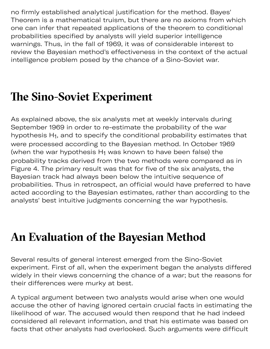no firmly established analytical justification for the method. Bayes' Theorem is a mathematical truism, but there are no axioms from which one can infer that repeated applications of the theorem to conditional probabilities specified by analysts will yield superior intelligence warnings. Thus, in the fall of 1969, it was of considerable interest to review the Bayesian method's effectiveness in the context of the actual intelligence problem posed by the chance of a Sino-Soviet war.

# **The Sino-Soviet Experiment**

As explained above, the six analysts met at weekly intervals during September 1969 in order to re-estimate the probability of the war hypothesis  $H_1$ , and to specify the conditional probability estimates that were processed according to the Bayesian method. In October 1969 (when the war hypothesis  $H_1$  was known to have been false) the probability tracks derived from the two methods were compared as in Figure 4. The primary result was that for five of the six analysts, the Bayesian track had always been below the intuitive sequence of probabilities. Thus in retrospect, an official would have preferred to have acted according to the Bayesian estimates, rather than according to the analysts' best intuitive judgments concerning the war hypothesis.

# **An Evaluation of the Bayesian Method**

Several results of general interest emerged from the Sino-Soviet experiment. First of all, when the experiment began the analysts differed widely in their views concerning the chance of a war; but the reasons for their differences were murky at best.

A typical argument between two analysts would arise when one would accuse the other of having ignored certain crucial facts in estimating the likelihood of war. The accused would then respond that he had indeed considered all relevant information, and that his estimate was based on facts that other analysts had overlooked. Such arguments were difficult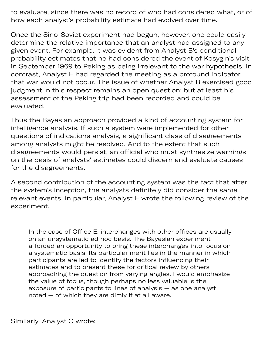to evaluate, since there was no record of who had considered what, or of how each analyst's probability estimate had evolved over time.

Once the Sino-Soviet experiment had begun, however, one could easily determine the relative importance that an analyst had assigned to any given event. For example, it was evident from Analyst B's conditional probability estimates that he had considered the event of Kosygin's visit in September 1969 to Peking as being irrelevant to the war hypothesis. In contrast, Analyst E had regarded the meeting as a profound indicator that war would not occur. The issue of whether Analyst B exercised good judgment in this respect remains an open question; but at least his assessment of the Peking trip had been recorded and could be evaluated.

Thus the Bayesian approach provided a kind of accounting system for intelligence analysis. If such a system were implemented for other questions of indications analysis, a significant class of disagreements among analysts might be resolved. And to the extent that such disagreements would persist, an official who must synthesize warnings on the basis of analysts' estimates could discern and evaluate causes for the disagreements.

A second contribution of the accounting system was the fact that after the system's inception, the analysts definitely did consider the same relevant events. In particular, Analyst E wrote the following review of the experiment.

In the case of Office E, interchanges with other offices are usually on an unsystematic ad hoc basis. The Bayesian experiment afforded an opportunity to bring these interchanges into focus on a systematic basis. Its particular merit lies in the manner in which participants are led to identify the factors influencing their estimates and to present these for critical review by others approaching the question from varying angles. I would emphasize the value of focus, though perhaps no less valuable is the exposure of participants to lines of analysis — as one analyst noted — of which they are dimly if at all aware.

Similarly, Analyst C wrote: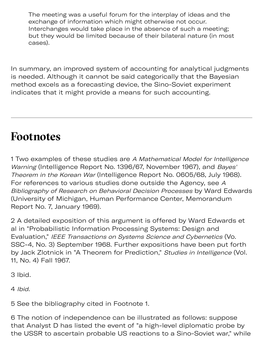The meeting was a useful forum for the interplay of ideas and the exchange of information which might otherwise not occur. Interchanges would take place in the absence of such a meeting; but they would be limited because of their bilateral nature (in most cases).

In summary, an improved system of accounting for analytical judgments is needed. Although it cannot be said categorically that the Bayesian method excels as a forecasting device, the Sino-Soviet experiment indicates that it might provide a means for such accounting.

### **Footnotes**

1 Two examples of these studies are A Mathematical Model for Intelligence Warning (Intelligence Report No. 1396/67, November 1967), and Bayes' Theorem in the Korean War (Intelligence Report No. 0605/68, July 1968). For references to various studies done outside the Agency, see <sup>A</sup> Bibliography of Research on Behavioral Decision Processes by Ward Edwards (University of Michigan, Human Performance Center, Memorandum Report No. 7, January 1969).

2 A detailed exposition of this argument is offered by Ward Edwards et al in "Probabilistic Information Processing Systems: Design and Evaluation," IEEE Transactions on Systems Science and Cybernetics (Vo. SSC-4, No. 3) September 1968. Further expositions have been put forth by Jack Zlotnick in "A Theorem for Prediction," Studies in Intelligence (Vol. 11, No. 4) Fall 1967.

3 Ibid.

4 Ibid.

5 See the bibliography cited in Footnote 1.

6 The notion of independence can be illustrated as follows: suppose that Analyst D has listed the event of "a high-level diplomatic probe by the USSR to ascertain probable US reactions to a Sino-Soviet war," while